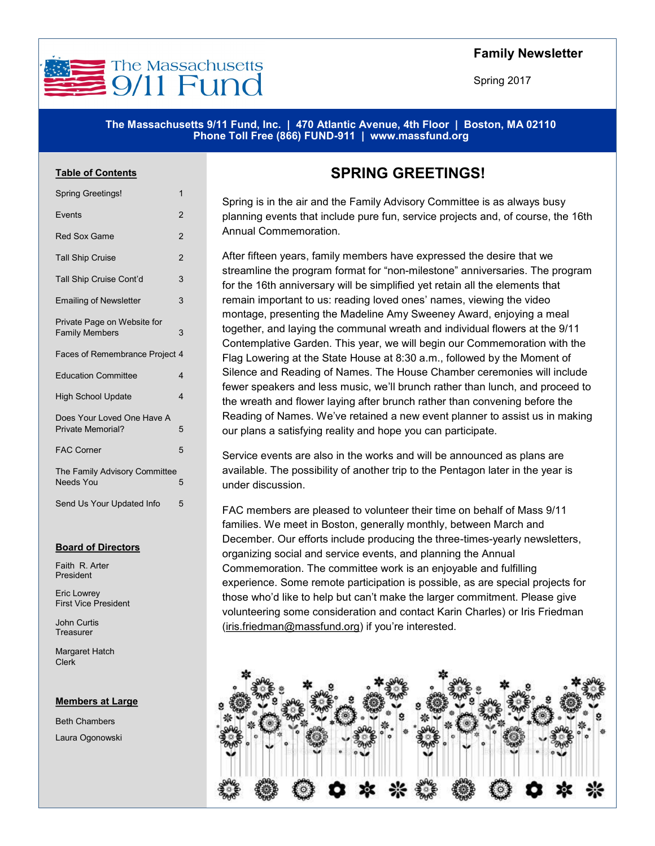

## **Family Newsletter**

Spring 2017

#### **The Massachusetts 9/11 Fund, Inc. | 470 Atlantic Avenue, 4th Floor | Boston, MA 02110 Phone Toll Free (866) FUND-911 | www.massfund.org**

#### **Table of Contents**

Spring Greetings!

| opning oroomigo:                                     |                |  |
|------------------------------------------------------|----------------|--|
| Events                                               | $\overline{2}$ |  |
| <b>Red Sox Game</b>                                  | $\overline{2}$ |  |
| <b>Tall Ship Cruise</b>                              | $\overline{2}$ |  |
| Tall Ship Cruise Cont'd                              | 3              |  |
| <b>Emailing of Newsletter</b>                        | 3              |  |
| Private Page on Website for<br><b>Family Members</b> | 3              |  |
| Faces of Remembrance Project 4                       |                |  |
| <b>Education Committee</b>                           | 4              |  |
| <b>High School Update</b>                            | 4              |  |
| Does Your Loved One Have A<br>Private Memorial?      | 5              |  |
| <b>FAC Corner</b>                                    | 5              |  |
| The Family Advisory Committee<br><b>Needs You</b>    | 5              |  |
| Send Us Your Updated Info                            | 5              |  |

#### **Board of Directors**

Faith R. Arter President

Eric Lowrey First Vice President

John Curtis **Treasurer** 

Margaret Hatch Clerk

#### **Members at Large**

Beth Chambers Laura Ogonowski

# **SPRING GREETINGS!**

Spring is in the air and the Family Advisory Committee is as always busy planning events that include pure fun, service projects and, of course, the 16th Annual Commemoration.

After fifteen years, family members have expressed the desire that we streamline the program format for "non-milestone" anniversaries. The program for the 16th anniversary will be simplified yet retain all the elements that remain important to us: reading loved ones' names, viewing the video montage, presenting the Madeline Amy Sweeney Award, enjoying a meal together, and laying the communal wreath and individual flowers at the 9/11 Contemplative Garden. This year, we will begin our Commemoration with the Flag Lowering at the State House at 8:30 a.m., followed by the Moment of Silence and Reading of Names. The House Chamber ceremonies will include fewer speakers and less music, we'll brunch rather than lunch, and proceed to the wreath and flower laying after brunch rather than convening before the Reading of Names. We've retained a new event planner to assist us in making our plans a satisfying reality and hope you can participate.

Service events are also in the works and will be announced as plans are available. The possibility of another trip to the Pentagon later in the year is under discussion.

FAC members are pleased to volunteer their time on behalf of Mass 9/11 families. We meet in Boston, generally monthly, between March and December. Our efforts include producing the three-times-yearly newsletters, organizing social and service events, and planning the Annual Commemoration. The committee work is an enjoyable and fulfilling experience. Some remote participation is possible, as are special projects for those who'd like to help but can't make the larger commitment. Please give volunteering some consideration and contact Karin Charles) or Iris Friedman [\(iris.friedman@massfund.org\)](mailto:iris.friedman@massfund.org?subject=FAC%20Participation/Volunteering) if you're interested.

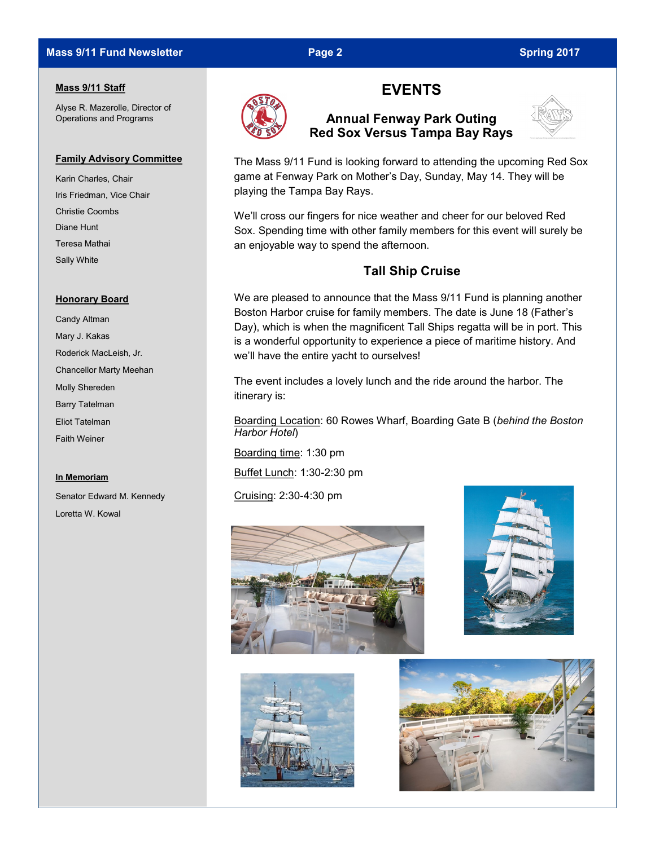## **Mass 9/11 Fund Newsletter Page 2 Spring 2017 Page 2** Spring 2017

### **Mass 9/11 Staff**

Alyse R. Mazerolle, Director of Operations and Programs

#### **Family Advisory Committee**

Karin Charles, Chair Iris Friedman, Vice Chair Christie Coombs Diane Hunt Teresa Mathai Sally White

#### **Honorary Board**

Candy Altman Mary J. Kakas Roderick MacLeish, Jr. Chancellor Marty Meehan Molly Shereden Barry Tatelman Eliot Tatelman Faith Weiner

#### **In Memoriam**

Senator Edward M. Kennedy Loretta W. Kowal



# **EVENTS**

## **Annual Fenway Park Outing Red Sox Versus Tampa Bay Rays**



The Mass 9/11 Fund is looking forward to attending the upcoming Red Sox game at Fenway Park on Mother's Day, Sunday, May 14. They will be playing the Tampa Bay Rays.

We'll cross our fingers for nice weather and cheer for our beloved Red Sox. Spending time with other family members for this event will surely be an enjoyable way to spend the afternoon.

## **Tall Ship Cruise**

We are pleased to announce that the Mass 9/11 Fund is planning another Boston Harbor cruise for family members. The date is June 18 (Father's Day), which is when the magnificent Tall Ships regatta will be in port. This is a wonderful opportunity to experience a piece of maritime history. And we'll have the entire yacht to ourselves!

The event includes a lovely lunch and the ride around the harbor. The itinerary is:

Boarding Location: 60 Rowes Wharf, Boarding Gate B (*behind the Boston Harbor Hotel*)

Boarding time: 1:30 pm

Buffet Lunch: 1:30-2:30 pm

Cruising: 2:30-4:30 pm







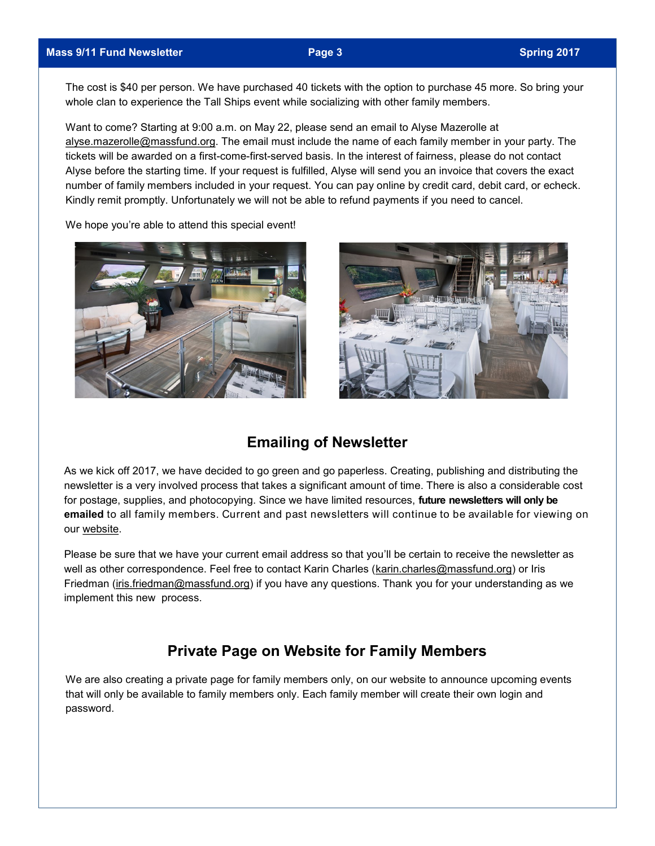The cost is \$40 per person. We have purchased 40 tickets with the option to purchase 45 more. So bring your whole clan to experience the Tall Ships event while socializing with other family members.

Want to come? Starting at 9:00 a.m. on May 22, please send an email to Alyse Mazerolle at [alyse.mazerolle@massfund.org.](mailto:Alyse.mazerolle@massfund.org?subject=Tall%20Ships%20Cruise) The email must include the name of each family member in your party. The tickets will be awarded on a first-come-first-served basis. In the interest of fairness, please do not contact Alyse before the starting time. If your request is fulfilled, Alyse will send you an invoice that covers the exact number of family members included in your request. You can pay online by credit card, debit card, or echeck. Kindly remit promptly. Unfortunately we will not be able to refund payments if you need to cancel.

We hope you're able to attend this special event!





# **Emailing of Newsletter**

As we kick off 2017, we have decided to go green and go paperless. Creating, publishing and distributing the newsletter is a very involved process that takes a significant amount of time. There is also a considerable cost for postage, supplies, and photocopying. Since we have limited resources, **future newsletters will only be emailed** to all family members. Current and past newsletters will continue to be available for viewing on our [website.](http://massfund.org/news-information/family-newsletters/) 

Please be sure that we have your current email address so that you'll be certain to receive the newsletter as well as other correspondence. Feel free to contact Karin Charles ([karin.charles@massfund.org\)](mailto:karin.charles@massfund.org?subject=Emailing%20Newsletter) or Iris Friedman [\(iris.friedman@massfund.org\)](mailto:iris.friedman@massfund.org) if you have any questions. Thank you for your understanding as we implement this new process.

# **Private Page on Website for Family Members**

We are also creating a private page for family members only, on our website to announce upcoming events that will only be available to family members only. Each family member will create their own login and password.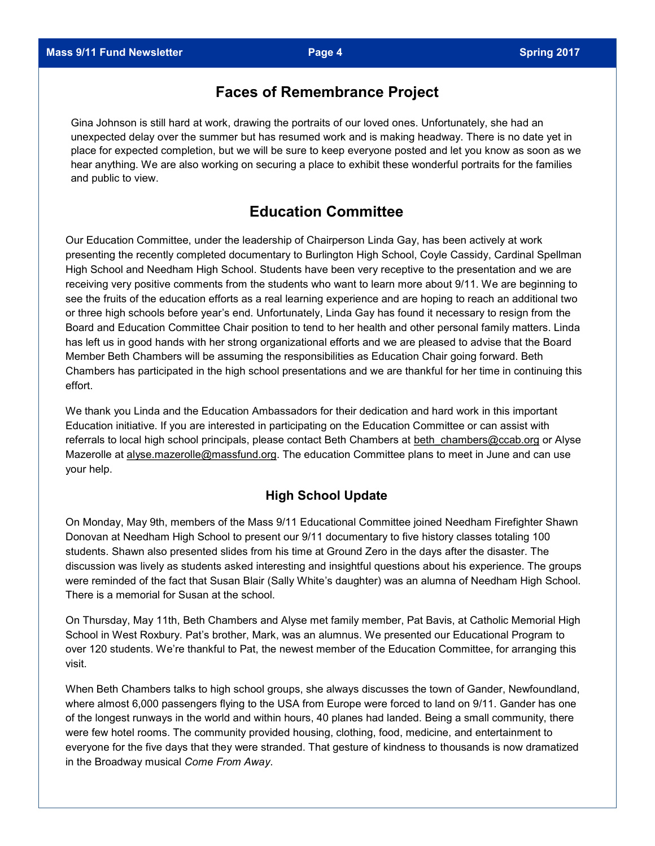# **Faces of Remembrance Project**

Gina Johnson is still hard at work, drawing the portraits of our loved ones. Unfortunately, she had an unexpected delay over the summer but has resumed work and is making headway. There is no date yet in place for expected completion, but we will be sure to keep everyone posted and let you know as soon as we hear anything. We are also working on securing a place to exhibit these wonderful portraits for the families and public to view.

# **Education Committee**

Our Education Committee, under the leadership of Chairperson Linda Gay, has been actively at work presenting the recently completed documentary to Burlington High School, Coyle Cassidy, Cardinal Spellman High School and Needham High School. Students have been very receptive to the presentation and we are receiving very positive comments from the students who want to learn more about 9/11. We are beginning to see the fruits of the education efforts as a real learning experience and are hoping to reach an additional two or three high schools before year's end. Unfortunately, Linda Gay has found it necessary to resign from the Board and Education Committee Chair position to tend to her health and other personal family matters. Linda has left us in good hands with her strong organizational efforts and we are pleased to advise that the Board Member Beth Chambers will be assuming the responsibilities as Education Chair going forward. Beth Chambers has participated in the high school presentations and we are thankful for her time in continuing this effort.

We thank you Linda and the Education Ambassadors for their dedication and hard work in this important Education initiative. If you are interested in participating on the Education Committee or can assist with referrals to local high school principals, please contact Beth Chambers at beth chambers@ccab.org or Alyse Mazerolle at [alyse.mazerolle@massfund.org.](mailto:alyse.mazerolle@massfund.org) The education Committee plans to meet in June and can use your help.

## **High School Update**

On Monday, May 9th, members of the Mass 9/11 Educational Committee joined Needham Firefighter Shawn Donovan at Needham High School to present our 9/11 documentary to five history classes totaling 100 students. Shawn also presented slides from his time at Ground Zero in the days after the disaster. The discussion was lively as students asked interesting and insightful questions about his experience. The groups were reminded of the fact that Susan Blair (Sally White's daughter) was an alumna of Needham High School. There is a memorial for Susan at the school.

On Thursday, May 11th, Beth Chambers and Alyse met family member, Pat Bavis, at Catholic Memorial High School in West Roxbury. Pat's brother, Mark, was an alumnus. We presented our Educational Program to over 120 students. We're thankful to Pat, the newest member of the Education Committee, for arranging this visit.

When Beth Chambers talks to high school groups, she always discusses the town of Gander, Newfoundland, where almost 6,000 passengers flying to the USA from Europe were forced to land on 9/11. Gander has one of the longest runways in the world and within hours, 40 planes had landed. Being a small community, there were few hotel rooms. The community provided housing, clothing, food, medicine, and entertainment to everyone for the five days that they were stranded. That gesture of kindness to thousands is now dramatized in the Broadway musical *Come From Away*.